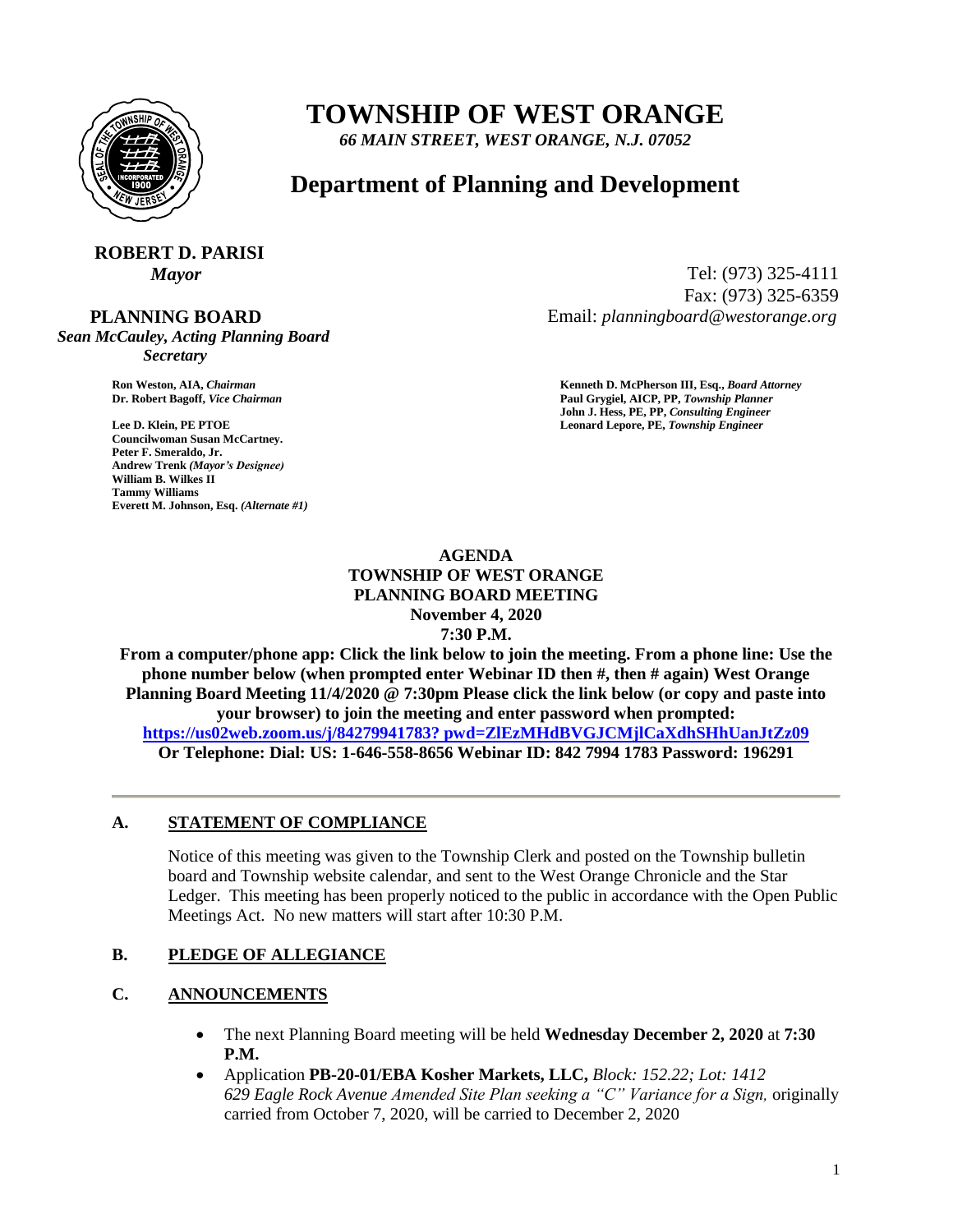

# **TOWNSHIP OF WEST ORANGE**

*66 MAIN STREET, WEST ORANGE, N.J. 07052*

# **Department of Planning and Development**

# **ROBERT D. PARISI**

#### **PLANNING BOARD**

*Sean McCauley, Acting Planning Board Secretary*

**Councilwoman Susan McCartney. Peter F. Smeraldo, Jr. Andrew Trenk** *(Mayor's Designee)* **William B. Wilkes II Tammy Williams Everett M. Johnson, Esq.** *(Alternate #1)*

*Mayor* Tel: (973) 325-4111 Fax: (973) 325-6359 Email: *planningboard@westorange.org*

**Ron Weston, AIA,** *Chairman* **<b>Kenneth D. McPherson III, Esq.,** *Board Attorney* **Criminal Community Community Community Community Community Community Community Community Community Community Community Community Community Co Dr. Robert Bagoff,** *Vice Chairman* **Paul Grygiel, AICP, PP,** *Township Planner* **John J. Hess, PE, PP,** *Consulting Engineer* **Lee D. Klein, PE PTOE Leonard Lepore, PE,** *Township Engineer*

#### **AGENDA TOWNSHIP OF WEST ORANGE PLANNING BOARD MEETING November 4, 2020 7:30 P.M.**

**From a computer/phone app: Click the link below to join the meeting. From a phone line: Use the phone number below (when prompted enter Webinar ID then #, then # again) West Orange Planning Board Meeting 11/4/2020 @ 7:30pm Please click the link below (or copy and paste into your browser) to join the meeting and enter password when prompted: [https://us02web.zoom.us/j/84279941783? pwd=ZlEzMHdBVGJCMjlCaXdhSHhUanJtZz09](https://us02web.zoom.us/j/84279941783?%20pwd=ZlEzMHdBVGJCMjlCaXdhSHhUanJtZz09) Or Telephone: Dial: US: 1-646-558-8656 Webinar ID: 842 7994 1783 Password: 196291**

#### **A. STATEMENT OF COMPLIANCE**

Notice of this meeting was given to the Township Clerk and posted on the Township bulletin board and Township website calendar, and sent to the West Orange Chronicle and the Star Ledger. This meeting has been properly noticed to the public in accordance with the Open Public Meetings Act. No new matters will start after 10:30 P.M.

# **B. PLEDGE OF ALLEGIANCE**

# **C. ANNOUNCEMENTS**

- The next Planning Board meeting will be held **Wednesday December 2, 2020** at **7:30 P.M.**
- Application **PB-20-01/EBA Kosher Markets, LLC,** *Block: 152.22; Lot: 1412 629 Eagle Rock Avenue Amended Site Plan seeking a "C" Variance for a Sign,* originally carried from October 7, 2020, will be carried to December 2, 2020